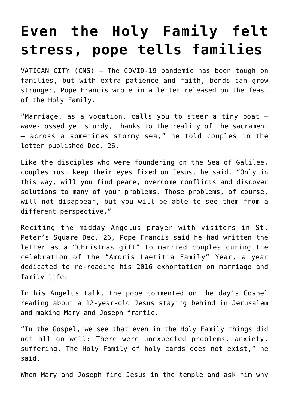## **[Even the Holy Family felt](https://www.osvnews.com/2021/12/27/even-the-holy-family-felt-stress-pope-tells-families/) [stress, pope tells families](https://www.osvnews.com/2021/12/27/even-the-holy-family-felt-stress-pope-tells-families/)**

VATICAN CITY (CNS) — The COVID-19 pandemic has been tough on families, but with extra patience and faith, bonds can grow stronger, Pope Francis wrote in a letter released on the feast of the Holy Family.

"Marriage, as a vocation, calls you to steer a tiny boat wave-tossed yet sturdy, thanks to the reality of the sacrament — across a sometimes stormy sea," he told couples in the letter published Dec. 26.

Like the disciples who were foundering on the Sea of Galilee, couples must keep their eyes fixed on Jesus, he said. "Only in this way, will you find peace, overcome conflicts and discover solutions to many of your problems. Those problems, of course, will not disappear, but you will be able to see them from a different perspective."

Reciting the midday Angelus prayer with visitors in St. Peter's Square Dec. 26, Pope Francis said he had written the letter as a "Christmas gift" to married couples during the celebration of the "Amoris Laetitia Family" Year, a year dedicated to re-reading his 2016 exhortation on marriage and family life.

In his Angelus talk, the pope commented on the day's Gospel reading about a 12-year-old Jesus staying behind in Jerusalem and making Mary and Joseph frantic.

"In the Gospel, we see that even in the Holy Family things did not all go well: There were unexpected problems, anxiety, suffering. The Holy Family of holy cards does not exist," he said.

When Mary and Joseph find Jesus in the temple and ask him why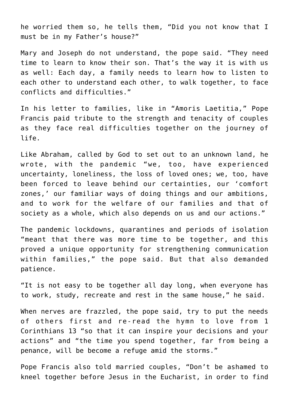he worried them so, he tells them, "Did you not know that I must be in my Father's house?"

Mary and Joseph do not understand, the pope said. "They need time to learn to know their son. That's the way it is with us as well: Each day, a family needs to learn how to listen to each other to understand each other, to walk together, to face conflicts and difficulties."

In his letter to families, like in "Amoris Laetitia," Pope Francis paid tribute to the strength and tenacity of couples as they face real difficulties together on the journey of life.

Like Abraham, called by God to set out to an unknown land, he wrote, with the pandemic "we, too, have experienced uncertainty, loneliness, the loss of loved ones; we, too, have been forced to leave behind our certainties, our 'comfort zones,' our familiar ways of doing things and our ambitions, and to work for the welfare of our families and that of society as a whole, which also depends on us and our actions."

The pandemic lockdowns, quarantines and periods of isolation "meant that there was more time to be together, and this proved a unique opportunity for strengthening communication within families," the pope said. But that also demanded patience.

"It is not easy to be together all day long, when everyone has to work, study, recreate and rest in the same house," he said.

When nerves are frazzled, the pope said, try to put the needs of others first and re-read the hymn to love from 1 Corinthians 13 "so that it can inspire your decisions and your actions" and "the time you spend together, far from being a penance, will be become a refuge amid the storms."

Pope Francis also told married couples, "Don't be ashamed to kneel together before Jesus in the Eucharist, in order to find